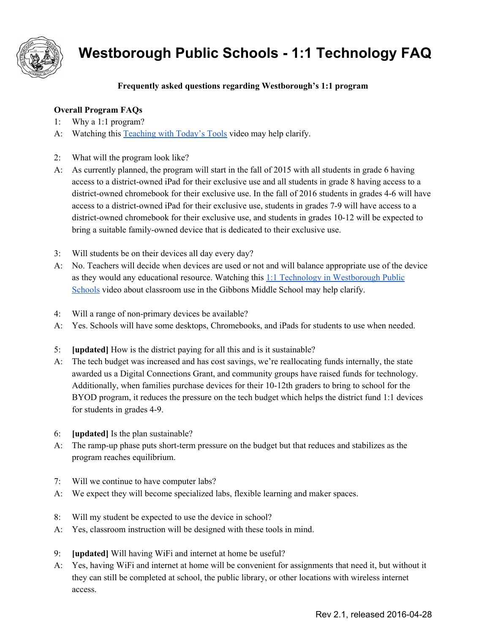

# **Westborough Public Schools 1:1 Technology FAQ**

## **Frequently asked questions regarding Westborough's 1:1 program**

#### **Overall Program FAQs**

- 1: Why a 1:1 program?
- A: Watching this [Teaching](https://drive.google.com/file/d/0B9SLJ36k59gpYjBDcWdwcHZTWTQ/view) with Today's Tools video may help clarify.
- 2: What will the program look like?
- A: As currently planned, the program will start in the fall of 2015 with all students in grade 6 having access to a district-owned iPad for their exclusive use and all students in grade 8 having access to a district-owned chromebook for their exclusive use. In the fall of 2016 students in grades 4-6 will have access to a district-owned iPad for their exclusive use, students in grades 7-9 will have access to a district-owned chromebook for their exclusive use, and students in grades  $10-12$  will be expected to bring a suitable family-owned device that is dedicated to their exclusive use.
- 3: Will students be on their devices all day every day?
- A: No. Teachers will decide when devices are used or not and will balance appropriate use of the device as they would any educational resource. Watching this 1:1 Technology in [Westborough](https://vimeo.com/162316113) Public [Schools](https://vimeo.com/162316113) video about classroom use in the Gibbons Middle School may help clarify.
- 4: Will a range of non-primary devices be available?
- A: Yes. Schools will have some desktops, Chromebooks, and iPads for students to use when needed.
- 5: **[updated]** How is the district paying for all this and is it sustainable?
- A: The tech budget was increased and has cost savings, we're reallocating funds internally, the state awarded us a Digital Connections Grant, and community groups have raised funds for technology. Additionally, when families purchase devices for their  $10-12$ th graders to bring to school for the BYOD program, it reduces the pressure on the tech budget which helps the district fund 1:1 devices for students in grades 4-9.
- 6: **[updated]** Is the plan sustainable?
- A: The ramp-up phase puts short-term pressure on the budget but that reduces and stabilizes as the program reaches equilibrium.
- 7: Will we continue to have computer labs?
- A: We expect they will become specialized labs, flexible learning and maker spaces.
- 8: Will my student be expected to use the device in school?
- A: Yes, classroom instruction will be designed with these tools in mind.
- 9: **[updated]** Will having WiFi and internet at home be useful?
- A: Yes, having WiFi and internet at home will be convenient for assignments that need it, but without it they can still be completed at school, the public library, or other locations with wireless internet access.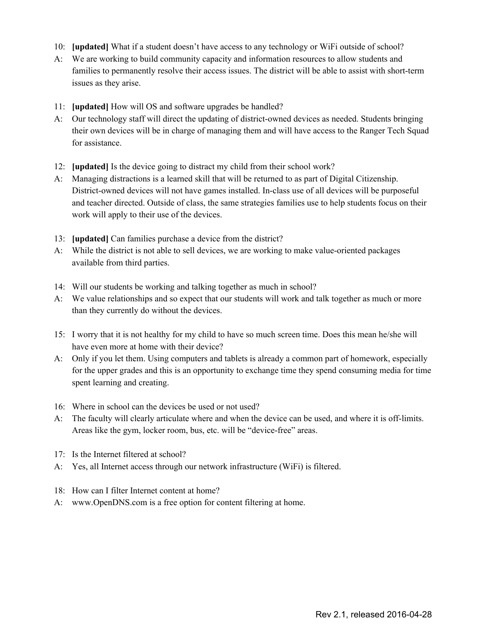- 10: **[updated]** What if a student doesn't have access to any technology or WiFi outside of school?
- A: We are working to build community capacity and information resources to allow students and families to permanently resolve their access issues. The district will be able to assist with short-term issues as they arise.
- 11: **[updated]** How will OS and software upgrades be handled?
- A: Our technology staff will direct the updating of district-owned devices as needed. Students bringing their own devices will be in charge of managing them and will have access to the Ranger Tech Squad for assistance.
- 12: **[updated]** Is the device going to distract my child from their school work?
- A: Managing distractions is a learned skill that will be returned to as part of Digital Citizenship. District-owned devices will not have games installed. In-class use of all devices will be purposeful and teacher directed. Outside of class, the same strategies families use to help students focus on their work will apply to their use of the devices.
- 13: **[updated]** Can families purchase a device from the district?
- A: While the district is not able to sell devices, we are working to make value-oriented packages available from third parties.
- 14: Will our students be working and talking together as much in school?
- A: We value relationships and so expect that our students will work and talk together as much or more than they currently do without the devices.
- 15: I worry that it is not healthy for my child to have so much screen time. Does this mean he/she will have even more at home with their device?
- A: Only if you let them. Using computers and tablets is already a common part of homework, especially for the upper grades and this is an opportunity to exchange time they spend consuming media for time spent learning and creating.
- 16: Where in school can the devices be used or not used?
- A: The faculty will clearly articulate where and when the device can be used, and where it is off-limits. Areas like the gym, locker room, bus, etc. will be "device-free" areas.
- 17: Is the Internet filtered at school?
- A: Yes, all Internet access through our network infrastructure (WiFi) is filtered.
- 18: How can I filter Internet content at home?
- A: www.OpenDNS.com is a free option for content filtering at home.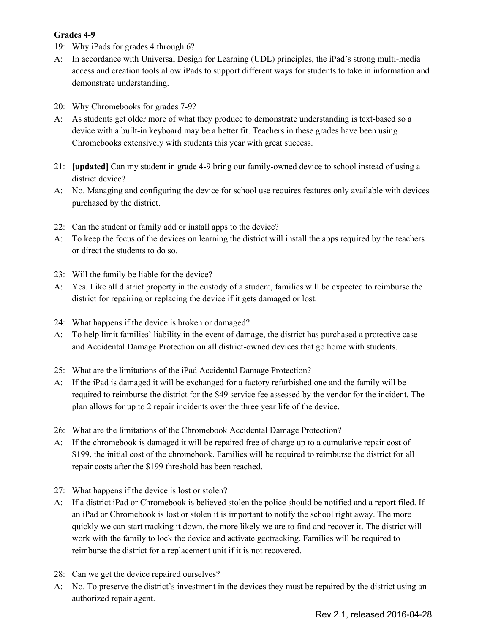#### **Grades 49**

- 19: Why iPads for grades 4 through 6?
- A: In accordance with Universal Design for Learning (UDL) principles, the iPad's strong multi-media access and creation tools allow iPads to support different ways for students to take in information and demonstrate understanding.
- 20: Why Chromebooks for grades 7-9?
- A: As students get older more of what they produce to demonstrate understanding is text-based so a device with a built-in keyboard may be a better fit. Teachers in these grades have been using Chromebooks extensively with students this year with great success.
- 21: **[updated]** Can my student in grade 4-9 bring our family-owned device to school instead of using a district device?
- A: No. Managing and configuring the device for school use requires features only available with devices purchased by the district.
- 22: Can the student or family add or install apps to the device?
- A: To keep the focus of the devices on learning the district will install the apps required by the teachers or direct the students to do so.
- 23: Will the family be liable for the device?
- A: Yes. Like all district property in the custody of a student, families will be expected to reimburse the district for repairing or replacing the device if it gets damaged or lost.
- 24: What happens if the device is broken or damaged?
- A: To help limit families' liability in the event of damage, the district has purchased a protective case and Accidental Damage Protection on all district-owned devices that go home with students.
- 25: What are the limitations of the iPad Accidental Damage Protection?
- A: If the iPad is damaged it will be exchanged for a factory refurbished one and the family will be required to reimburse the district for the \$49 service fee assessed by the vendor for the incident. The plan allows for up to 2 repair incidents over the three year life of the device.
- 26: What are the limitations of the Chromebook Accidental Damage Protection?
- A: If the chromebook is damaged it will be repaired free of charge up to a cumulative repair cost of \$199, the initial cost of the chromebook. Families will be required to reimburse the district for all repair costs after the \$199 threshold has been reached.
- 27: What happens if the device is lost or stolen?
- A: If a district iPad or Chromebook is believed stolen the police should be notified and a report filed. If an iPad or Chromebook is lost or stolen it is important to notify the school right away. The more quickly we can start tracking it down, the more likely we are to find and recover it. The district will work with the family to lock the device and activate geotracking. Families will be required to reimburse the district for a replacement unit if it is not recovered.
- 28: Can we get the device repaired ourselves?
- A: No. To preserve the district's investment in the devices they must be repaired by the district using an authorized repair agent.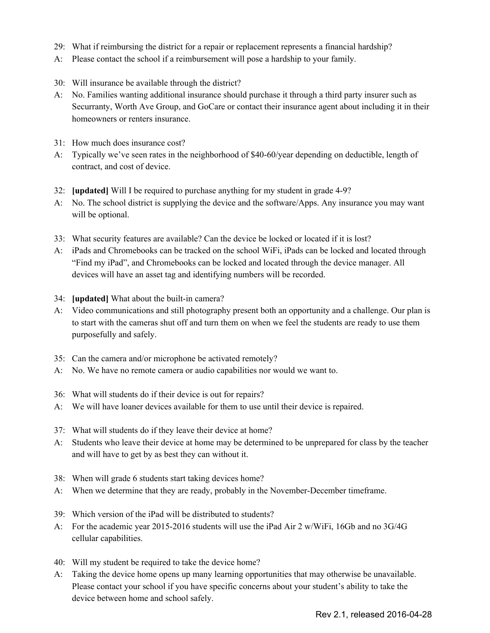- 29: What if reimbursing the district for a repair or replacement represents a financial hardship?
- A: Please contact the school if a reimbursement will pose a hardship to your family.
- 30: Will insurance be available through the district?
- A: No. Families wanting additional insurance should purchase it through a third party insurer such as Securranty, Worth Ave Group, and GoCare or contact their insurance agent about including it in their homeowners or renters insurance.
- 31: How much does insurance cost?
- A: Typically we've seen rates in the neighborhood of \$4060/year depending on deductible, length of contract, and cost of device.
- 32: **[updated]** Will I be required to purchase anything for my student in grade 49?
- A: No. The school district is supplying the device and the software/Apps. Any insurance you may want will be optional.
- 33: What security features are available? Can the device be locked or located if it is lost?
- A: iPads and Chromebooks can be tracked on the school WiFi, iPads can be locked and located through "Find my iPad", and Chromebooks can be locked and located through the device manager. All devices will have an asset tag and identifying numbers will be recorded.
- 34: **[updated]** What about the built-in camera?
- A: Video communications and still photography present both an opportunity and a challenge. Our plan is to start with the cameras shut off and turn them on when we feel the students are ready to use them purposefully and safely.
- 35: Can the camera and/or microphone be activated remotely?
- A: No. We have no remote camera or audio capabilities nor would we want to.
- 36: What will students do if their device is out for repairs?
- A: We will have loaner devices available for them to use until their device is repaired.
- 37: What will students do if they leave their device at home?
- A: Students who leave their device at home may be determined to be unprepared for class by the teacher and will have to get by as best they can without it.
- 38: When will grade 6 students start taking devices home?
- A: When we determine that they are ready, probably in the November-December timeframe.
- 39: Which version of the iPad will be distributed to students?
- A: For the academic year 20152016 students will use the iPad Air 2 w/WiFi, 16Gb and no 3G/4G cellular capabilities.
- 40: Will my student be required to take the device home?
- A: Taking the device home opens up many learning opportunities that may otherwise be unavailable. Please contact your school if you have specific concerns about your student's ability to take the device between home and school safely.